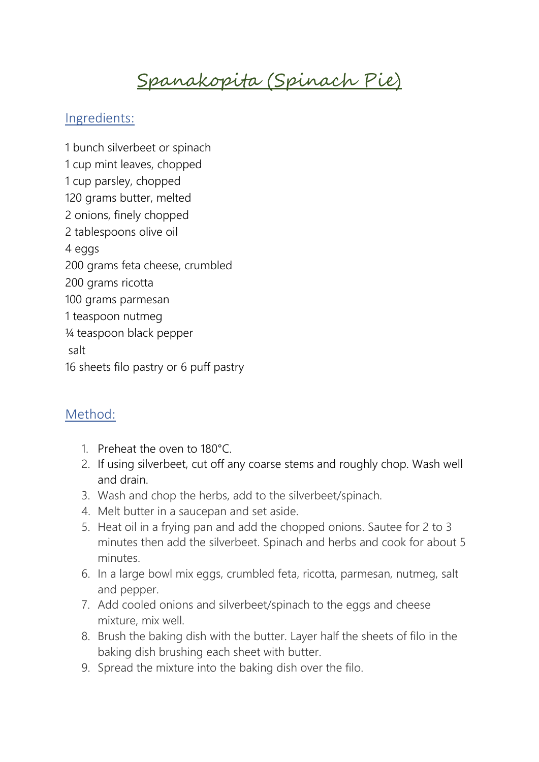## Spanakopita (Spinach Pie)

## Ingredients:

1 bunch silverbeet or spinach 1 cup mint leaves, chopped 1 cup parsley, chopped 120 grams butter, melted 2 onions, finely chopped 2 tablespoons olive oil 4 eggs 200 grams feta cheese, crumbled 200 grams ricotta 100 grams parmesan 1 teaspoon nutmeg ¼ teaspoon black pepper salt 16 sheets filo pastry or 6 puff pastry

## Method:

- 1. Preheat the oven to 180°C.
- 2. If using silverbeet, cut off any coarse stems and roughly chop. Wash well and drain.
- 3. Wash and chop the herbs, add to the silverbeet/spinach.
- 4. Melt butter in a saucepan and set aside.
- 5. Heat oil in a frying pan and add the chopped onions. Sautee for 2 to 3 minutes then add the silverbeet. Spinach and herbs and cook for about 5 minutes.
- 6. In a large bowl mix eggs, crumbled feta, ricotta, parmesan, nutmeg, salt and pepper.
- 7. Add cooled onions and silverbeet/spinach to the eggs and cheese mixture, mix well.
- 8. Brush the baking dish with the butter. Layer half the sheets of filo in the baking dish brushing each sheet with butter.
- 9. Spread the mixture into the baking dish over the filo.